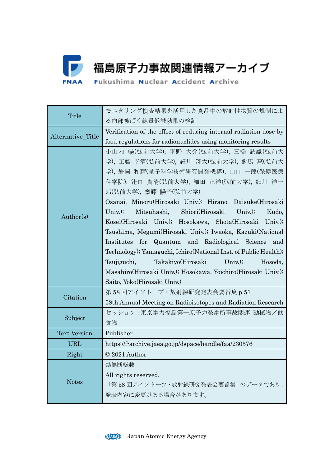

| Title               | モニタリング検査結果を活用した食品中の放射性物質の規制によ                                     |  |  |  |  |  |  |
|---------------------|-------------------------------------------------------------------|--|--|--|--|--|--|
|                     | る内部被ばく線量低減効果の検証                                                   |  |  |  |  |  |  |
|                     | Verification of the effect of reducing internal radiation dose by |  |  |  |  |  |  |
| Alternative_Title   | food regulations for radionuclides using monitoring results       |  |  |  |  |  |  |
| Author(s)           | 小山内 暢(弘前大学), 平野 大介(弘前大学), 三橋 誌織(弘前大                               |  |  |  |  |  |  |
|                     | 学), 工藤 幸清(弘前大学), 細川 翔太(弘前大学), 對馬 惠(弘前大                            |  |  |  |  |  |  |
|                     | 学), 岩岡 和輝(量子科学技術研究開発機構), 山口 一郎(保健医療                               |  |  |  |  |  |  |
|                     | 科学院), 辻口 貴清(弘前大学), 細田 正洋(弘前大学), 細川 洋一                             |  |  |  |  |  |  |
|                     | 郎(弘前大学), 齋藤 陽子(弘前大学)                                              |  |  |  |  |  |  |
|                     | Osanai, Minoru(Hirosaki Univ.); Hirano, Daisuke(Hirosaki          |  |  |  |  |  |  |
|                     | Mitsuhashi, Shiori(Hirosaki Univ.);<br>$Univ.$ );<br>Kudo,        |  |  |  |  |  |  |
|                     | Kosei(Hirosaki Univ.); Hosokawa, Shota(Hirosaki Univ.);           |  |  |  |  |  |  |
|                     | Tsushima, Megumi(Hirosaki Univ.); Iwaoka, Kazuki(National         |  |  |  |  |  |  |
|                     | Institutes for Quantum and Radiological Science and               |  |  |  |  |  |  |
|                     | Technology); Yamaguchi, Ichiro(National Inst. of Public Health);  |  |  |  |  |  |  |
|                     | Takakiyo(Hirosaki Univ.);<br>Tsujiguchi,<br>Hosoda,               |  |  |  |  |  |  |
|                     | Masahiro (Hirosaki Univ.); Hosokawa, Yoichiro (Hirosaki Univ.);   |  |  |  |  |  |  |
|                     | Saito, Yoko(Hirosaki Univ.)                                       |  |  |  |  |  |  |
| Citation            | 第 58 回アイソトープ・放射線研究発表会要旨集 p.51                                     |  |  |  |  |  |  |
|                     | 58th Annual Meeting on Radioisotopes and Radiation Research       |  |  |  |  |  |  |
| Subject             | セッション:東京電力福島第一原子力発電所事故関連 動植物/飲                                    |  |  |  |  |  |  |
|                     | 食物                                                                |  |  |  |  |  |  |
| <b>Text Version</b> | Publisher                                                         |  |  |  |  |  |  |
| <b>URL</b>          | https://f-archive.jaea.go.jp/dspace/handle/faa/230576             |  |  |  |  |  |  |
| Right               | © 2021 Author                                                     |  |  |  |  |  |  |
| <b>Notes</b>        | 禁無断転載                                                             |  |  |  |  |  |  |
|                     | All rights reserved.                                              |  |  |  |  |  |  |
|                     | 「第 58 回アイソトープ・放射線研究発表会要旨集」 のデータであり、                               |  |  |  |  |  |  |
|                     | 発表内容に変更がある場合があります。                                                |  |  |  |  |  |  |